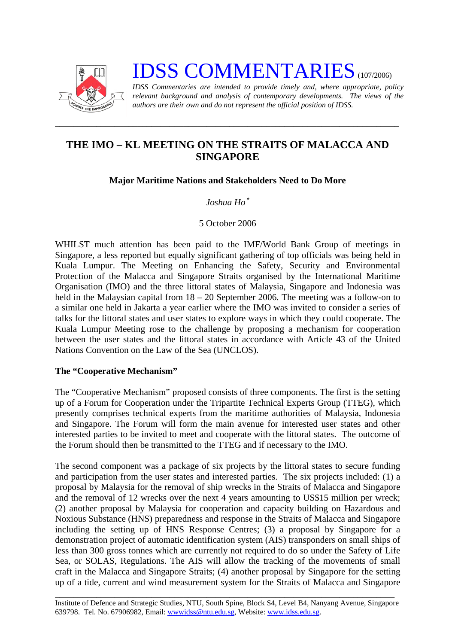

# **IDSS COMMENTARIES** (107/2006)

*IDSS Commentaries are intended to provide timely and, where appropriate, policy relevant background and analysis of contemporary developments. The views of the authors are their own and do not represent the official position of IDSS.* 

## **THE IMO – KL MEETING ON THE STRAITS OF MALACCA AND SINGAPORE**

*\_\_\_\_\_\_\_\_\_\_\_\_\_\_\_\_\_\_\_\_\_\_\_\_\_\_\_\_\_\_\_\_\_\_\_\_\_\_\_\_\_\_\_\_\_\_\_\_\_\_\_\_\_\_\_\_\_\_\_\_\_\_\_\_\_\_\_\_\_\_\_\_\_\_\_* 

## **Major Maritime Nations and Stakeholders Need to Do More**

## *Joshua Ho*[∗](#page-3-0)

#### 5 October 2006

WHILST much attention has been paid to the IMF/World Bank Group of meetings in Singapore, a less reported but equally significant gathering of top officials was being held in Kuala Lumpur. The Meeting on Enhancing the Safety, Security and Environmental Protection of the Malacca and Singapore Straits organised by the International Maritime Organisation (IMO) and the three littoral states of Malaysia, Singapore and Indonesia was held in the Malaysian capital from  $18 - 20$  September 2006. The meeting was a follow-on to a similar one held in Jakarta a year earlier where the IMO was invited to consider a series of talks for the littoral states and user states to explore ways in which they could cooperate. The Kuala Lumpur Meeting rose to the challenge by proposing a mechanism for cooperation between the user states and the littoral states in accordance with Article 43 of the United Nations Convention on the Law of the Sea (UNCLOS).

#### **The "Cooperative Mechanism"**

The "Cooperative Mechanism" proposed consists of three components. The first is the setting up of a Forum for Cooperation under the Tripartite Technical Experts Group (TTEG), which presently comprises technical experts from the maritime authorities of Malaysia, Indonesia and Singapore. The Forum will form the main avenue for interested user states and other interested parties to be invited to meet and cooperate with the littoral states. The outcome of the Forum should then be transmitted to the TTEG and if necessary to the IMO.

The second component was a package of six projects by the littoral states to secure funding and participation from the user states and interested parties. The six projects included: (1) a proposal by Malaysia for the removal of ship wrecks in the Straits of Malacca and Singapore and the removal of 12 wrecks over the next 4 years amounting to US\$15 million per wreck; (2) another proposal by Malaysia for cooperation and capacity building on Hazardous and Noxious Substance (HNS) preparedness and response in the Straits of Malacca and Singapore including the setting up of HNS Response Centres; (3) a proposal by Singapore for a demonstration project of automatic identification system (AIS) transponders on small ships of less than 300 gross tonnes which are currently not required to do so under the Safety of Life Sea, or SOLAS, Regulations. The AIS will allow the tracking of the movements of small craft in the Malacca and Singapore Straits; (4) another proposal by Singapore for the setting up of a tide, current and wind measurement system for the Straits of Malacca and Singapore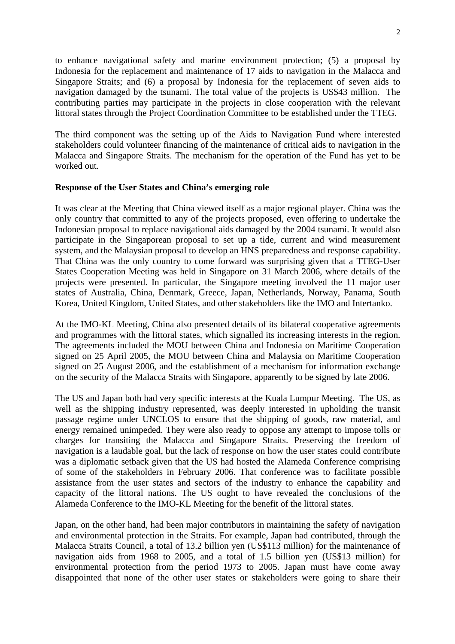to enhance navigational safety and marine environment protection; (5) a proposal by Indonesia for the replacement and maintenance of 17 aids to navigation in the Malacca and Singapore Straits; and (6) a proposal by Indonesia for the replacement of seven aids to navigation damaged by the tsunami. The total value of the projects is US\$43 million. The contributing parties may participate in the projects in close cooperation with the relevant littoral states through the Project Coordination Committee to be established under the TTEG.

The third component was the setting up of the Aids to Navigation Fund where interested stakeholders could volunteer financing of the maintenance of critical aids to navigation in the Malacca and Singapore Straits. The mechanism for the operation of the Fund has yet to be worked out.

#### **Response of the User States and China's emerging role**

It was clear at the Meeting that China viewed itself as a major regional player. China was the only country that committed to any of the projects proposed, even offering to undertake the Indonesian proposal to replace navigational aids damaged by the 2004 tsunami. It would also participate in the Singaporean proposal to set up a tide, current and wind measurement system, and the Malaysian proposal to develop an HNS preparedness and response capability. That China was the only country to come forward was surprising given that a TTEG-User States Cooperation Meeting was held in Singapore on 31 March 2006, where details of the projects were presented. In particular, the Singapore meeting involved the 11 major user states of Australia, China, Denmark, Greece, Japan, Netherlands, Norway, Panama, South Korea, United Kingdom, United States, and other stakeholders like the IMO and Intertanko.

At the IMO-KL Meeting, China also presented details of its bilateral cooperative agreements and programmes with the littoral states, which signalled its increasing interests in the region. The agreements included the MOU between China and Indonesia on Maritime Cooperation signed on 25 April 2005, the MOU between China and Malaysia on Maritime Cooperation signed on 25 August 2006, and the establishment of a mechanism for information exchange on the security of the Malacca Straits with Singapore, apparently to be signed by late 2006.

The US and Japan both had very specific interests at the Kuala Lumpur Meeting. The US, as well as the shipping industry represented, was deeply interested in upholding the transit passage regime under UNCLOS to ensure that the shipping of goods, raw material, and energy remained unimpeded. They were also ready to oppose any attempt to impose tolls or charges for transiting the Malacca and Singapore Straits. Preserving the freedom of navigation is a laudable goal, but the lack of response on how the user states could contribute was a diplomatic setback given that the US had hosted the Alameda Conference comprising of some of the stakeholders in February 2006. That conference was to facilitate possible assistance from the user states and sectors of the industry to enhance the capability and capacity of the littoral nations. The US ought to have revealed the conclusions of the Alameda Conference to the IMO-KL Meeting for the benefit of the littoral states.

Japan, on the other hand, had been major contributors in maintaining the safety of navigation and environmental protection in the Straits. For example, Japan had contributed, through the Malacca Straits Council, a total of 13.2 billion yen (US\$113 million) for the maintenance of navigation aids from 1968 to 2005, and a total of 1.5 billion yen (US\$13 million) for environmental protection from the period 1973 to 2005. Japan must have come away disappointed that none of the other user states or stakeholders were going to share their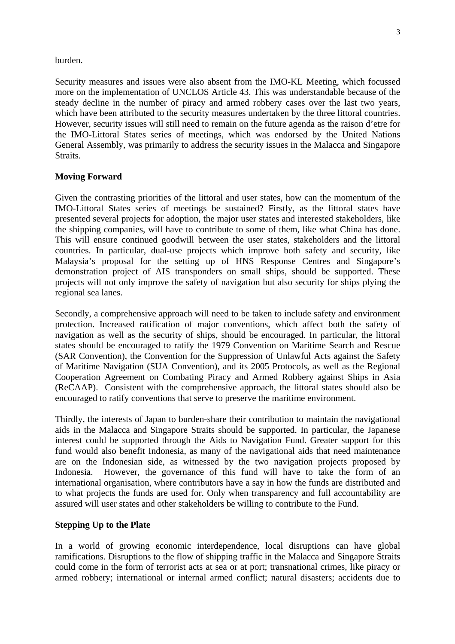#### burden.

Security measures and issues were also absent from the IMO-KL Meeting, which focussed more on the implementation of UNCLOS Article 43. This was understandable because of the steady decline in the number of piracy and armed robbery cases over the last two years, which have been attributed to the security measures undertaken by the three littoral countries. However, security issues will still need to remain on the future agenda as the raison d'etre for the IMO-Littoral States series of meetings, which was endorsed by the United Nations General Assembly, was primarily to address the security issues in the Malacca and Singapore Straits.

#### **Moving Forward**

Given the contrasting priorities of the littoral and user states, how can the momentum of the IMO-Littoral States series of meetings be sustained? Firstly, as the littoral states have presented several projects for adoption, the major user states and interested stakeholders, like the shipping companies, will have to contribute to some of them, like what China has done. This will ensure continued goodwill between the user states, stakeholders and the littoral countries. In particular, dual-use projects which improve both safety and security, like Malaysia's proposal for the setting up of HNS Response Centres and Singapore's demonstration project of AIS transponders on small ships, should be supported. These projects will not only improve the safety of navigation but also security for ships plying the regional sea lanes.

Secondly, a comprehensive approach will need to be taken to include safety and environment protection. Increased ratification of major conventions, which affect both the safety of navigation as well as the security of ships, should be encouraged. In particular, the littoral states should be encouraged to ratify the 1979 Convention on Maritime Search and Rescue (SAR Convention), the Convention for the Suppression of Unlawful Acts against the Safety of Maritime Navigation (SUA Convention), and its 2005 Protocols, as well as the Regional Cooperation Agreement on Combating Piracy and Armed Robbery against Ships in Asia (ReCAAP). Consistent with the comprehensive approach, the littoral states should also be encouraged to ratify conventions that serve to preserve the maritime environment.

Thirdly, the interests of Japan to burden-share their contribution to maintain the navigational aids in the Malacca and Singapore Straits should be supported. In particular, the Japanese interest could be supported through the Aids to Navigation Fund. Greater support for this fund would also benefit Indonesia, as many of the navigational aids that need maintenance are on the Indonesian side, as witnessed by the two navigation projects proposed by Indonesia. However, the governance of this fund will have to take the form of an international organisation, where contributors have a say in how the funds are distributed and to what projects the funds are used for. Only when transparency and full accountability are assured will user states and other stakeholders be willing to contribute to the Fund.

#### **Stepping Up to the Plate**

In a world of growing economic interdependence, local disruptions can have global ramifications. Disruptions to the flow of shipping traffic in the Malacca and Singapore Straits could come in the form of terrorist acts at sea or at port; transnational crimes, like piracy or armed robbery; international or internal armed conflict; natural disasters; accidents due to